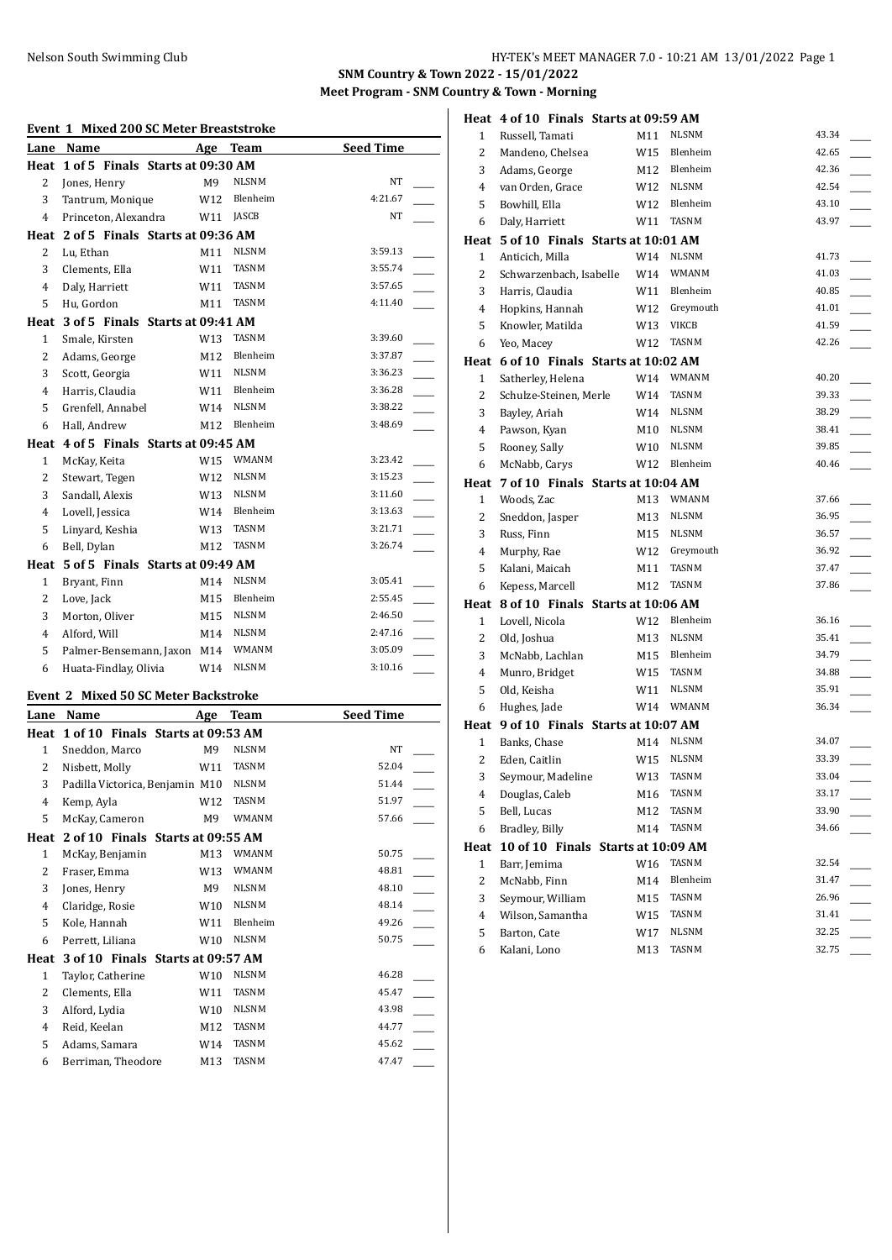**SNM Country & Town 2022 - 15/01/2022 Meet Program - SNM Country & Town - Morning**

#### **Event 1 Mixed 200 SC Meter Breaststroke**

| Lane           | Name                                  | Age             | <b>Team</b>  | <b>Seed Time</b> |  |
|----------------|---------------------------------------|-----------------|--------------|------------------|--|
| Heat           | 1 of 5 Finals Starts at 09:30 AM      |                 |              |                  |  |
| $\overline{c}$ | Jones, Henry                          | M <sub>9</sub>  | <b>NLSNM</b> | <b>NT</b>        |  |
| 3              | Tantrum, Monique                      | W <sub>12</sub> | Blenheim     | 4:21.67          |  |
| $\overline{4}$ | Princeton, Alexandra                  | W11             | <b>JASCB</b> | NT               |  |
|                | Heat 2 of 5 Finals Starts at 09:36 AM |                 |              |                  |  |
| 2              | Lu, Ethan                             | M11             | <b>NLSNM</b> | 3:59.13          |  |
| 3              | Clements, Ella                        | W11             | <b>TASNM</b> | 3:55.74          |  |
| $\overline{4}$ | Daly, Harriett                        | W11             | <b>TASNM</b> | 3:57.65          |  |
| 5              | Hu, Gordon                            | M11             | <b>TASNM</b> | 4:11.40          |  |
| Heat           | 3 of 5 Finals Starts at 09:41 AM      |                 |              |                  |  |
| $\mathbf{1}$   | Smale, Kirsten                        | W13             | <b>TASNM</b> | 3:39.60          |  |
| 2              | Adams, George                         | M12             | Blenheim     | 3:37.87          |  |
| 3              | Scott, Georgia                        | W11             | <b>NLSNM</b> | 3:36.23          |  |
| 4              | Harris, Claudia                       | W11             | Blenheim     | 3:36.28          |  |
| 5              | Grenfell, Annabel                     | W14             | <b>NLSNM</b> | 3:38.22          |  |
| 6              | Hall, Andrew                          | M12             | Blenheim     | 3:48.69          |  |
|                | Heat 4 of 5 Finals Starts at 09:45 AM |                 |              |                  |  |
| $\mathbf{1}$   | McKay, Keita                          | W15             | <b>WMANM</b> | 3:23.42          |  |
| 2              | Stewart, Tegen                        | W12             | <b>NLSNM</b> | 3:15.23          |  |
| 3              | Sandall, Alexis                       | W13             | <b>NLSNM</b> | 3:11.60          |  |
| 4              | Lovell, Jessica                       | W14             | Blenheim     | 3:13.63          |  |
| 5              | Linyard, Keshia                       | W13             | TASNM        | 3:21.71          |  |
| 6              | Bell, Dylan                           | M12             | <b>TASNM</b> | 3:26.74          |  |
| Heat           | 5 of 5 Finals Starts at 09:49 AM      |                 |              |                  |  |
| $\mathbf{1}$   | Bryant, Finn                          | M14             | <b>NLSNM</b> | 3:05.41          |  |
| $\overline{2}$ | Love, Jack                            | M15             | Blenheim     | 2:55.45          |  |
| 3              | Morton, Oliver                        | M15             | <b>NLSNM</b> | 2:46.50          |  |
| $\overline{4}$ | Alford, Will                          | M14             | <b>NLSNM</b> | 2:47.16          |  |
| 5              | Palmer-Bensemann, Jaxon M14           |                 | WMANM        | 3:05.09          |  |
| 6              | Huata-Findlay, Olivia                 | W14             | <b>NLSNM</b> | 3:10.16          |  |
|                |                                       |                 |              |                  |  |

#### **Event 2 Mixed 50 SC Meter Backstroke**

| Lane | Name                              | Age             | <b>Team</b>  | <b>Seed Time</b> |
|------|-----------------------------------|-----------------|--------------|------------------|
| Heat | 1 of 10 Finals Starts at 09:53 AM |                 |              |                  |
| 1    | Sneddon, Marco                    | M9              | <b>NLSNM</b> | NT               |
| 2    | Nisbett, Molly                    | W <sub>11</sub> | <b>TASNM</b> | 52.04            |
| 3    | Padilla Victorica, Benjamin M10   |                 | <b>NLSNM</b> | 51.44            |
| 4    | Kemp, Ayla                        | W12             | <b>TASNM</b> | 51.97            |
| 5    | McKay, Cameron                    | M9              | <b>WMANM</b> | 57.66            |
| Heat | 2 of 10 Finals Starts at 09:55 AM |                 |              |                  |
| 1    | McKay, Benjamin                   | M13             | WMANM        | 50.75            |
| 2    | Fraser, Emma                      | W13             | <b>WMANM</b> | 48.81            |
| 3    | Jones, Henry                      | M9              | <b>NLSNM</b> | 48.10            |
| 4    | Claridge, Rosie                   | W10             | <b>NLSNM</b> | 48.14            |
| 5    | Kole, Hannah                      | W11             | Blenheim     | 49.26            |
| 6    | Perrett, Liliana                  | W10             | <b>NLSNM</b> | 50.75            |
| Heat | 3 of 10 Finals Starts at 09:57 AM |                 |              |                  |
| 1    | Taylor, Catherine                 | W10             | <b>NLSNM</b> | 46.28            |
| 2    | Clements, Ella                    | W11             | <b>TASNM</b> | 45.47            |
| 3    | Alford, Lydia                     | W <sub>10</sub> | <b>NLSNM</b> | 43.98            |
| 4    | Reid, Keelan                      | M12             | <b>TASNM</b> | 44.77            |
| 5    | Adams, Samara                     | W14             | TASNM        | 45.62            |
| 6    | Berriman, Theodore                | M13             | <b>TASNM</b> | 47.47            |

|              | Heat 4 of 10 Finals Starts at 09:59 AM |            |                       |                |
|--------------|----------------------------------------|------------|-----------------------|----------------|
| 1            | Russell, Tamati                        | M11        | <b>NLSNM</b>          | 43.34          |
| 2            | Mandeno, Chelsea                       | W15        | Blenheim              | 42.65          |
| 3            | Adams, George                          | M12        | Blenheim              | 42.36          |
| 4            | van Orden, Grace                       | W12        | <b>NLSNM</b>          | 42.54          |
| 5            | Bowhill, Ella                          | W12        | Blenheim              | 43.10          |
| 6            | Daly, Harriett                         | W11        | TASNM                 | 43.97          |
|              | Heat 5 of 10 Finals Starts at 10:01 AM |            |                       |                |
| 1            | Anticich. Milla                        | W14        | <b>NLSNM</b>          | 41.73          |
| 2            | Schwarzenbach, Isabelle                | W14        | WMANM                 | 41.03          |
| 3            | Harris, Claudia                        | W11        | Blenheim              | 40.85          |
| 4            | Hopkins, Hannah                        | W12        | Greymouth             | 41.01          |
| 5            | Knowler, Matilda                       | W13        | <b>VIKCB</b>          | 41.59          |
| 6            | Yeo, Macey                             | W12        | <b>TASNM</b>          | 42.26          |
|              | Heat 6 of 10 Finals Starts at 10:02 AM |            |                       |                |
| $\mathbf{1}$ | Satherley, Helena                      | W14        | <b>WMANM</b>          | 40.20          |
| 2            | Schulze-Steinen, Merle                 | W14        | TASNM                 | 39.33          |
| 3            | Bayley, Ariah                          | W14        | NLSNM                 | 38.29          |
| 4            | Pawson, Kyan                           | M10        | <b>NLSNM</b>          | 38.41          |
| 5            | Rooney, Sally                          | W10        | <b>NLSNM</b>          | 39.85          |
| 6            | McNabb, Carys                          | W12        | Blenheim              | 40.46          |
|              | Heat 7 of 10 Finals Starts at 10:04 AM |            |                       |                |
| 1            | Woods, Zac                             | M13        | <b>WMANM</b>          | 37.66          |
| 2            | Sneddon, Jasper                        | M13        | <b>NLSNM</b>          | 36.95          |
| 3            | Russ, Finn                             | M15        | <b>NLSNM</b>          | 36.57          |
| 4            | Murphy, Rae                            | W12        | Greymouth             | 36.92          |
| 5            | Kalani, Maicah                         | M11        | TASNM                 | 37.47          |
| 6            | Kepess, Marcell                        | M12        | TASNM                 | 37.86          |
|              | Heat 8 of 10 Finals Starts at 10:06 AM |            |                       |                |
| $\mathbf{1}$ | Lovell, Nicola                         | W12        | Blenheim              | 36.16          |
| 2            |                                        |            |                       |                |
|              | Old, Joshua                            | M13        | <b>NLSNM</b>          | 35.41          |
| 3            | McNabb, Lachlan                        | M15        | Blenheim              | 34.79          |
| 4            | Munro, Bridget                         | W15        | TASNM                 | 34.88          |
| 5            | Old, Keisha                            | W11        | <b>NLSNM</b>          | 35.91          |
| 6            | Hughes, Jade                           | W14        | WMANM                 | 36.34          |
|              | Heat 9 of 10 Finals Starts at 10:07 AM |            |                       |                |
| 1            | Banks, Chase                           | M14        | <b>NLSNM</b>          | 34.07          |
| 2            | Eden, Caitlin                          | W15        | <b>NLSNM</b>          | 33.39          |
|              | 3 Seymour, Madeline                    |            | W13 TASNM             | 33.04          |
| 4            | Douglas, Caleb                         | M16        | TASNM                 | 33.17          |
| 5            | Bell, Lucas                            | M12        | TASNM                 | 33.90          |
| 6            | Bradley, Billy                         | M14        | TASNM                 | 34.66          |
| Heat         | 10 of 10 Finals Starts at 10:09 AM     |            |                       |                |
| $\mathbf{1}$ | Barr, Jemima                           | W16        | TASNM                 | 32.54          |
| 2            | McNabb, Finn                           | M14        | Blenheim              | 31.47          |
| 3            | Seymour, William                       | M15        | <b>TASNM</b><br>TASNM | 26.96          |
| 4<br>5       | Wilson, Samantha<br>Barton, Cate       | W15<br>W17 | <b>NLSNM</b>          | 31.41<br>32.25 |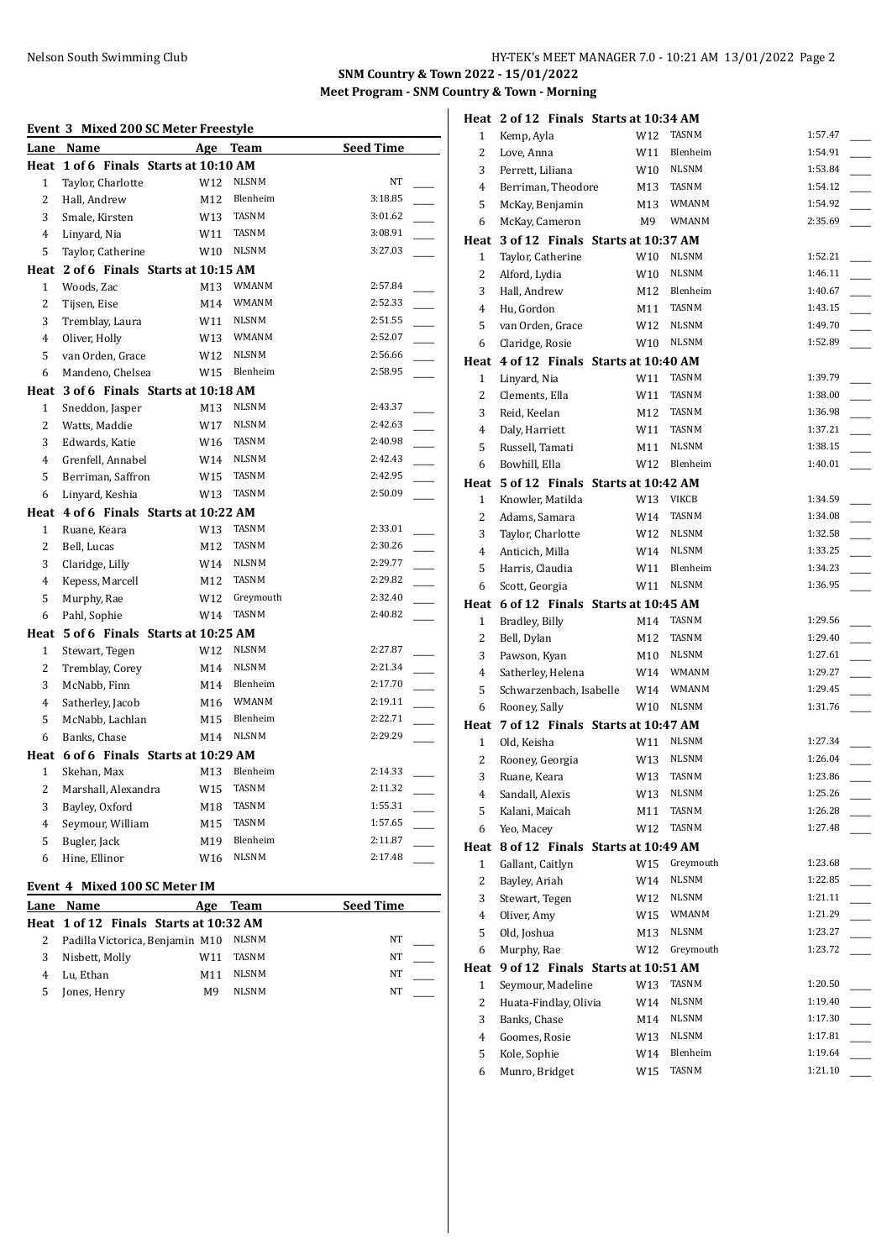**SNM Country & Town 2022 - 15/01/2022 Meet Program - SNM Country & Town - Morning**

| Event 3 Mixed 200 SC Meter Freestyle |                                       |     |              |                  |  |
|--------------------------------------|---------------------------------------|-----|--------------|------------------|--|
| Lane                                 | Name                                  | Age | Team         | <b>Seed Time</b> |  |
|                                      | Heat 1 of 6 Finals Starts at 10:10 AM |     |              |                  |  |
| $\mathbf{1}$                         | Taylor, Charlotte                     | W12 | <b>NLSNM</b> | NT               |  |
| $\overline{2}$                       | Hall, Andrew                          | M12 | Blenheim     | 3:18.85          |  |
| 3                                    | Smale, Kirsten                        | W13 | <b>TASNM</b> | 3:01.62          |  |
| $\overline{4}$                       | Linyard, Nia                          | W11 | <b>TASNM</b> | 3:08.91          |  |
| 5                                    | Taylor, Catherine                     | W10 | <b>NLSNM</b> | 3:27.03          |  |
|                                      | Heat 2 of 6 Finals Starts at 10:15 AM |     |              |                  |  |
| $\mathbf{1}$                         | Woods, Zac                            | M13 | WMANM        | 2:57.84          |  |
| $\overline{2}$                       | Tijsen, Eise                          | M14 | WMANM        | 2:52.33          |  |
| 3                                    | Tremblay, Laura                       | W11 | <b>NLSNM</b> | 2:51.55          |  |
| $\overline{4}$                       | Oliver, Holly                         | W13 | WMANM        | 2:52.07          |  |
| 5                                    | van Orden, Grace                      | W12 | <b>NLSNM</b> | 2:56.66          |  |
| 6                                    | Mandeno, Chelsea                      | W15 | Blenheim     | 2:58.95          |  |
|                                      | Heat 3 of 6 Finals Starts at 10:18 AM |     |              |                  |  |
| $\mathbf{1}$                         | Sneddon, Jasper                       | M13 | <b>NLSNM</b> | 2:43.37          |  |
| $\overline{2}$                       | Watts, Maddie                         | W17 | <b>NLSNM</b> | 2:42.63          |  |
| 3                                    | Edwards, Katie                        | W16 | <b>TASNM</b> | 2:40.98          |  |
| 4                                    | Grenfell, Annabel                     | W14 | <b>NLSNM</b> | 2:42.43          |  |
| 5                                    | Berriman, Saffron                     | W15 | TASNM        | 2:42.95          |  |
| 6                                    | Linyard, Keshia                       | W13 | <b>TASNM</b> | 2:50.09          |  |
|                                      | Heat 4 of 6 Finals Starts at 10:22 AM |     |              |                  |  |
| $\mathbf{1}$                         | Ruane, Keara                          | W13 | <b>TASNM</b> | 2:33.01          |  |
| $\overline{2}$                       | Bell, Lucas                           | M12 | <b>TASNM</b> | 2:30.26          |  |
| 3                                    | Claridge, Lilly                       | W14 | <b>NLSNM</b> | 2:29.77          |  |
| 4                                    | Kepess, Marcell                       | M12 | <b>TASNM</b> | 2:29.82          |  |
| 5                                    | Murphy, Rae                           | W12 | Greymouth    | 2:32.40          |  |
| 6                                    | Pahl, Sophie                          | W14 | <b>TASNM</b> | 2:40.82          |  |
| Heat                                 | 5 of 6 Finals Starts at 10:25 AM      |     |              |                  |  |
| $\mathbf{1}$                         | Stewart, Tegen                        | W12 | <b>NLSNM</b> | 2:27.87          |  |
| $\overline{2}$                       | Tremblay, Corey                       | M14 | <b>NLSNM</b> | 2:21.34          |  |
| 3                                    | McNabb, Finn                          | M14 | Blenheim     | 2:17.70          |  |
| 4                                    | Satherley, Jacob                      | M16 | WMANM        | 2:19.11          |  |
| 5                                    | McNabb, Lachlan                       | M15 | Blenheim     | 2:22.71          |  |
| 6                                    | Banks, Chase                          | M14 | <b>NLSNM</b> | 2:29.29          |  |
|                                      | Heat 6 of 6 Finals Starts at 10:29 AM |     |              |                  |  |
| $\mathbf{1}$                         | Skehan, Max                           | M13 | Blenheim     | 2:14.33          |  |
| $\overline{2}$                       | Marshall, Alexandra                   | W15 | <b>TASNM</b> | 2:11.32          |  |
| 3                                    | Bayley, Oxford                        | M18 | TASNM        | 1:55.31          |  |
| 4                                    | Seymour, William                      | M15 | <b>TASNM</b> | 1:57.65          |  |
| 5                                    | Bugler, Jack                          | M19 | Blenheim     | 2:11.87          |  |
| 6                                    | Hine, Ellinor                         | W16 | <b>NLSNM</b> | 2:17.48          |  |
|                                      | Event 4 Mixed 100 SC Meter IM         |     |              |                  |  |

|   | Lane Name                              | Age | Team         | <b>Seed Time</b> |
|---|----------------------------------------|-----|--------------|------------------|
|   | Heat 1 of 12 Finals Starts at 10:32 AM |     |              |                  |
|   | Padilla Victorica, Benjamin M10        |     | NLSNM        | NΤ               |
| 3 | Nisbett, Molly                         | W11 | TASNM        | NT               |
|   | Lu, Ethan                              | M11 | <b>NLSNM</b> | NΤ               |
|   | Jones, Henry                           | M9  | <b>NLSNM</b> | NΤ               |

|                              | Heat 2 of 12 Finals Starts at 10:34 AM |            |                           |                    |
|------------------------------|----------------------------------------|------------|---------------------------|--------------------|
| 1                            | Kemp, Ayla                             | W12        | TASNM                     | 1:57.47            |
| 2                            | Love, Anna                             | W11        | Blenheim                  | 1:54.91            |
| 3                            | Perrett, Liliana                       | W10        | <b>NLSNM</b>              | 1:53.84            |
| 4                            | Berriman, Theodore                     | M13        | <b>TASNM</b>              | 1:54.12            |
| 5                            | McKay, Benjamin                        | M13        | <b>WMANM</b>              | 1:54.92            |
| 6                            | McKay, Cameron                         | M9         | <b>WMANM</b>              | 2:35.69            |
|                              | Heat 3 of 12 Finals Starts at 10:37 AM |            |                           |                    |
| 1                            | Taylor, Catherine                      | W10        | <b>NLSNM</b>              | 1:52.21            |
| 2                            | Alford, Lydia                          | W10        | <b>NLSNM</b>              | 1:46.11            |
| 3                            | Hall, Andrew                           | M12        | Blenheim                  | 1:40.67            |
| 4                            | Hu, Gordon                             | M11        | TASNM                     | 1:43.15            |
| 5                            | van Orden, Grace                       | W12        | <b>NLSNM</b>              | 1:49.70            |
| 6                            | Claridge, Rosie                        | W10        | <b>NLSNM</b>              | 1:52.89            |
|                              | Heat 4 of 12 Finals Starts at 10:40 AM |            |                           |                    |
| 1                            | Linyard, Nia                           | W11        | TASNM<br><b>TASNM</b>     | 1:39.79            |
| 2                            | Clements, Ella                         | W11        | <b>TASNM</b>              | 1:38.00<br>1:36.98 |
| 3<br>4                       | Reid, Keelan<br>Daly, Harriett         | M12<br>W11 | TASNM                     | 1:37.21            |
| 5                            | Russell, Tamati                        | M11        | <b>NLSNM</b>              | 1:38.15            |
| 6                            | Bowhill, Ella                          | W12        | Blenheim                  | 1:40.01            |
|                              | Heat 5 of 12 Finals Starts at 10:42 AM |            |                           |                    |
| 1                            | Knowler, Matilda                       | W13        | <b>VIKCB</b>              | 1:34.59            |
| 2                            | Adams, Samara                          | W14        | TASNM                     | 1:34.08            |
| 3                            | Taylor, Charlotte                      | W12        | <b>NLSNM</b>              | 1:32.58            |
| 4                            | Anticich, Milla                        | W14        | <b>NLSNM</b>              | 1:33.25            |
| 5                            | Harris, Claudia                        | W11        | Blenheim                  | 1:34.23            |
| 6                            | Scott, Georgia                         | W11        | <b>NLSNM</b>              | 1:36.95            |
|                              |                                        |            |                           |                    |
|                              | Heat 6 of 12 Finals Starts at 10:45 AM |            |                           |                    |
| 1                            | Bradley, Billy                         | M14        | TASNM                     | 1:29.56            |
| 2                            | Bell, Dylan                            | M12        | TASNM                     | 1:29.40            |
| 3                            | Pawson, Kyan                           | M10        | <b>NLSNM</b>              | 1:27.61            |
| 4                            | Satherley, Helena                      | W14        | <b>WMANM</b>              | 1:29.27            |
| 5                            | Schwarzenbach, Isabelle                | W14        | <b>WMANM</b>              | 1:29.45            |
| 6                            | Rooney, Sally                          | W10        | <b>NLSNM</b>              | 1:31.76            |
|                              | Heat 7 of 12 Finals Starts at 10:47 AM |            |                           |                    |
| 1                            | Old, Keisha                            | W11        | <b>NLSNM</b>              | 1:27.34            |
| 2                            | Rooney, Georgia                        | W13        | <b>NLSNM</b>              | 1:26.04            |
| 3                            | Ruane, Keara                           |            | W13 TASNM<br><b>NLSNM</b> | 1:23.86<br>1:25.26 |
| 4<br>5                       | Sandall, Alexis<br>Kalani, Maicah      | W13        | TASNM                     | 1:26.28            |
| 6                            | Yeo, Macey                             | M11<br>W12 | TASNM                     | 1:27.48            |
|                              | Heat 8 of 12 Finals Starts at 10:49 AM |            |                           |                    |
| $\mathbf{1}$                 | Gallant, Caitlyn                       | W15        | Greymouth                 | 1:23.68            |
| 2                            | Bayley, Ariah                          | W14        | <b>NLSNM</b>              | 1:22.85            |
| 3                            | Stewart, Tegen                         | W12        | <b>NLSNM</b>              | 1:21.11            |
| 4                            | Oliver, Amy                            | W15        | WMANM                     | 1:21.29            |
| 5                            | Old, Joshua                            | M13        | NLSNM                     | 1:23.27            |
| 6                            | Murphy, Rae                            | W12        | Greymouth                 | 1:23.72            |
| Heat                         | 9 of 12 Finals Starts at 10:51 AM      |            |                           |                    |
| 1                            | Seymour, Madeline                      | W13        | TASNM                     | 1:20.50            |
| 2                            | Huata-Findlay, Olivia                  | W14        | NLSNM                     | 1:19.40            |
| 3                            | Banks, Chase                           | M14        | <b>NLSNM</b>              | 1:17.30            |
| $\overline{\mathbf{4}}$<br>5 | Goomes, Rosie<br>Kole, Sophie          | W13<br>W14 | NLSNM<br>Blenheim         | 1:17.81<br>1:19.64 |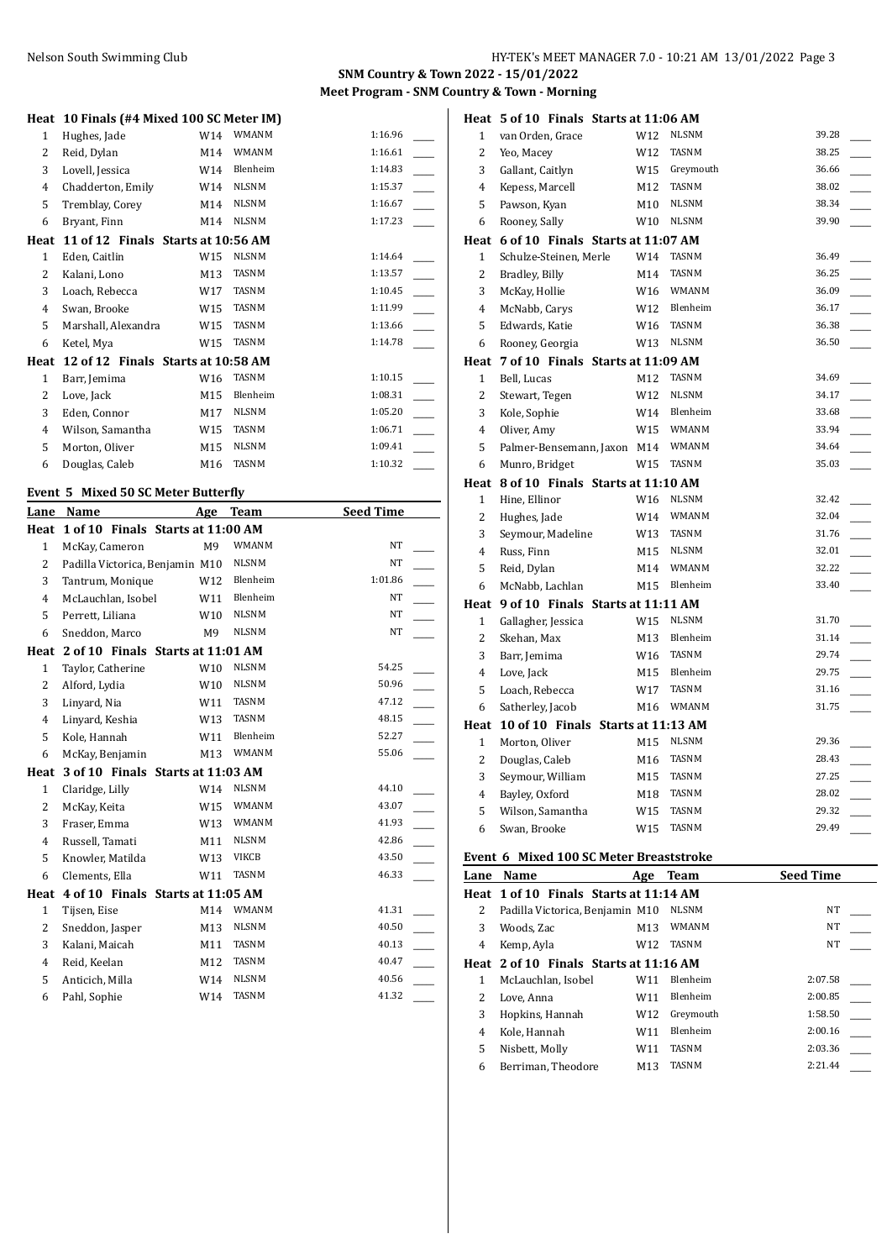# **SNM Country & Town 2022 - 15/01/2022 Meet Program - SNM Country & Town - Morning**

| Heat           | 10 Finals (#4 Mixed 100 SC Meter IM) |                 |              |         |  |
|----------------|--------------------------------------|-----------------|--------------|---------|--|
| $\mathbf{1}$   | Hughes, Jade                         | W14             | <b>WMANM</b> | 1:16.96 |  |
| 2              | Reid, Dylan                          | M14             | <b>WMANM</b> | 1:16.61 |  |
| 3              | Lovell, Jessica                      | W14             | Blenheim     | 1:14.83 |  |
| $\overline{4}$ | Chadderton, Emily                    | W14             | <b>NLSNM</b> | 1:15.37 |  |
| 5              | Tremblay, Corey                      | M14             | <b>NLSNM</b> | 1:16.67 |  |
| 6              | Bryant, Finn                         | M14             | <b>NLSNM</b> | 1:17.23 |  |
| Heat           | 11 of 12 Finals Starts at 10:56 AM   |                 |              |         |  |
| $\mathbf{1}$   | Eden, Caitlin                        | W15             | <b>NLSNM</b> | 1:14.64 |  |
| 2              | Kalani, Lono                         | M13             | <b>TASNM</b> | 1:13.57 |  |
| 3              | Loach, Rebecca                       | W17             | <b>TASNM</b> | 1:10.45 |  |
| $\overline{4}$ | Swan, Brooke                         | W15             | TASNM        | 1:11.99 |  |
| 5              | Marshall, Alexandra                  | W15             | <b>TASNM</b> | 1:13.66 |  |
| 6              | Ketel, Mya                           | W15             | <b>TASNM</b> | 1:14.78 |  |
| Heat           | 12 of 12 Finals Starts at 10:58 AM   |                 |              |         |  |
| $\mathbf{1}$   | Barr, Jemima                         | W <sub>16</sub> | <b>TASNM</b> | 1:10.15 |  |
| 2              | Love, Jack                           | M15             | Blenheim     | 1:08.31 |  |
| 3              | Eden, Connor                         | M17             | <b>NLSNM</b> | 1:05.20 |  |
| $\overline{4}$ | Wilson, Samantha                     | W15             | TASNM        | 1:06.71 |  |
| 5              | Morton, Oliver                       | M15             | <b>NLSNM</b> | 1:09.41 |  |
| 6              | Douglas, Caleb                       | M16             | <b>TASNM</b> | 1:10.32 |  |
|                | Event 5 Mixed 50 SC Meter Butterfly  |                 |              |         |  |

|                | Lane Name                         | Age            | <b>Team</b>  | <b>Seed Time</b> |  |
|----------------|-----------------------------------|----------------|--------------|------------------|--|
| Heat           | 1 of 10 Finals Starts at 11:00 AM |                |              |                  |  |
| $\mathbf{1}$   | McKay, Cameron                    | M <sub>9</sub> | WMANM        | NT               |  |
| 2              | Padilla Victorica, Benjamin M10   |                | <b>NLSNM</b> | <b>NT</b>        |  |
| 3              | Tantrum, Monique                  | W12            | Blenheim     | 1:01.86          |  |
| 4              | McLauchlan, Isobel                | W11            | Blenheim     | NT               |  |
| 5              | Perrett, Liliana                  | W10            | <b>NLSNM</b> | NT               |  |
| 6              | Sneddon, Marco                    | M <sub>9</sub> | <b>NLSNM</b> | NT               |  |
| Heat           | 2 of 10 Finals Starts at 11:01 AM |                |              |                  |  |
| $\mathbf{1}$   | Taylor, Catherine                 | W10            | <b>NLSNM</b> | 54.25            |  |
| $\overline{2}$ | Alford, Lydia                     | W10            | <b>NLSNM</b> | 50.96            |  |
| 3              | Linyard, Nia                      | W11            | <b>TASNM</b> | 47.12            |  |
| 4              | Linyard, Keshia                   | W13            | <b>TASNM</b> | 48.15            |  |
| 5              | Kole, Hannah                      | W11            | Blenheim     | 52.27            |  |
| 6              | McKay, Benjamin                   | M13            | WMANM        | 55.06            |  |
| Heat           | 3 of 10 Finals Starts at 11:03 AM |                |              |                  |  |
| $\mathbf{1}$   | Claridge, Lilly                   | W14            | <b>NLSNM</b> | 44.10            |  |
| 2              | McKay, Keita                      | W15            | <b>WMANM</b> | 43.07            |  |
| 3              | Fraser, Emma                      | W13            | <b>WMANM</b> | 41.93            |  |
| 4              | Russell, Tamati                   | M11            | <b>NLSNM</b> | 42.86            |  |
| 5              | Knowler, Matilda                  | W13            | <b>VIKCB</b> | 43.50            |  |
| 6              | Clements, Ella                    | W11            | <b>TASNM</b> | 46.33            |  |
| Heat           | 4 of 10 Finals Starts at 11:05 AM |                |              |                  |  |
| $\mathbf{1}$   | Tijsen, Eise                      | M14            | <b>WMANM</b> | 41.31            |  |
| $\overline{2}$ | Sneddon, Jasper                   | M13            | <b>NLSNM</b> | 40.50            |  |
| 3              | Kalani, Maicah                    | M11            | <b>TASNM</b> | 40.13            |  |
| 4              | Reid, Keelan                      | M12            | <b>TASNM</b> | 40.47            |  |
| 5              | Anticich, Milla                   | W14            | <b>NLSNM</b> | 40.56            |  |
| 6              | Pahl, Sophie                      | W14            | <b>TASNM</b> | 41.32            |  |

|                | Heat 5 of 10 Finals Starts at 11:06 AM  |     |              |       |
|----------------|-----------------------------------------|-----|--------------|-------|
| 1              | van Orden, Grace                        | W12 | <b>NLSNM</b> | 39.28 |
| $\overline{c}$ | Yeo, Macey                              | W12 | <b>TASNM</b> | 38.25 |
| 3              | Gallant, Caitlyn                        | W15 | Greymouth    | 36.66 |
| 4              | Kepess, Marcell                         | M12 | <b>TASNM</b> | 38.02 |
| 5              | Pawson, Kyan                            | M10 | <b>NLSNM</b> | 38.34 |
| 6              | Rooney, Sally                           | W10 | <b>NLSNM</b> | 39.90 |
|                | Heat 6 of 10 Finals Starts at 11:07 AM  |     |              |       |
| 1              | Schulze-Steinen, Merle                  | W14 | TASNM        | 36.49 |
| 2              | Bradley, Billy                          | M14 | <b>TASNM</b> | 36.25 |
| 3              | McKay, Hollie                           | W16 | <b>WMANM</b> | 36.09 |
| $\overline{4}$ | McNabb, Carys                           | W12 | Blenheim     | 36.17 |
| 5              | Edwards, Katie                          | W16 | <b>TASNM</b> | 36.38 |
| 6              | Rooney, Georgia                         | W13 | <b>NLSNM</b> | 36.50 |
| Heat           | 7 of 10 Finals Starts at 11:09 AM       |     |              |       |
| 1              | Bell, Lucas                             | M12 | <b>TASNM</b> | 34.69 |
| $\overline{c}$ | Stewart, Tegen                          | W12 | <b>NLSNM</b> | 34.17 |
| 3              | Kole, Sophie                            | W14 | Blenheim     | 33.68 |
| $\overline{4}$ | Oliver, Amy                             | W15 | <b>WMANM</b> | 33.94 |
| 5              | Palmer-Bensemann, Jaxon M14             |     | <b>WMANM</b> | 34.64 |
| 6              | Munro, Bridget                          | W15 | <b>TASNM</b> | 35.03 |
|                | Heat 8 of 10 Finals Starts at 11:10 AM  |     |              |       |
| $\mathbf{1}$   | Hine, Ellinor                           | W16 | <b>NLSNM</b> | 32.42 |
| 2              | Hughes, Jade                            | W14 | WMANM        | 32.04 |
| 3              | Seymour, Madeline                       | W13 | <b>TASNM</b> | 31.76 |
|                |                                         |     |              |       |
| $\overline{4}$ | Russ, Finn                              | M15 | <b>NLSNM</b> | 32.01 |
| 5              | Reid, Dylan                             | M14 | <b>WMANM</b> | 32.22 |
| 6              | McNabb, Lachlan                         | M15 | Blenheim     | 33.40 |
|                | Heat 9 of 10 Finals Starts at 11:11 AM  |     |              |       |
| $\mathbf{1}$   | Gallagher, Jessica                      | W15 | <b>NLSNM</b> | 31.70 |
| 2              | Skehan, Max                             | M13 | Blenheim     | 31.14 |
| 3              | Barr, Jemima                            | W16 | <b>TASNM</b> | 29.74 |
| 4              | Love, Jack                              | M15 | Blenheim     | 29.75 |
| 5              | Loach, Rebecca                          | W17 | TASNM        | 31.16 |
| 6              | Satherley, Jacob                        | M16 | WMANM        | 31.75 |
|                | Heat 10 of 10 Finals Starts at 11:13 AM |     |              |       |
| $\mathbf{1}$   | Morton, Oliver                          | M15 | <b>NLSNM</b> | 29.36 |
| 2              | Douglas, Caleb                          | M16 | TASNM        | 28.43 |
| 3              | Seymour, William                        | M15 | <b>TASNM</b> | 27.25 |
| 4              | Bayley, Oxford                          | M18 | <b>TASNM</b> | 28.02 |
| 5              | Wilson, Samantha                        | W15 | <b>TASNM</b> | 29.32 |
| 6              | Swan, Brooke                            | W15 | <b>TASNM</b> | 29.49 |

#### **Event 6 Mixed 100 SC Meter Breaststroke**

| EVEILE O MIXEU TUU SC MELEI DI EASISLIURE |                                        |                 |              |                  |
|-------------------------------------------|----------------------------------------|-----------------|--------------|------------------|
| Lane                                      | Name                                   | Age             | <b>Team</b>  | <b>Seed Time</b> |
|                                           | Heat 1 of 10 Finals Starts at 11:14 AM |                 |              |                  |
| 2                                         | Padilla Victorica, Benjamin M10        |                 | <b>NLSNM</b> | NT               |
| 3                                         | Woods, Zac                             | M <sub>13</sub> | <b>WMANM</b> | NT               |
| 4                                         | Kemp, Ayla                             | W12             | <b>TASNM</b> | NT               |
|                                           | Heat 2 of 10 Finals Starts at 11:16 AM |                 |              |                  |
| 1                                         | McLauchlan, Isobel                     | W11             | Blenheim     | 2:07.58          |
| 2                                         | Love, Anna                             | W11             | Blenheim     | 2:00.85          |
| 3                                         | Hopkins, Hannah                        | W12             | Greymouth    | 1:58.50          |
| $\overline{4}$                            | Kole, Hannah                           | W11             | Blenheim     | 2:00.16          |
| 5                                         | Nisbett, Molly                         | W11             | <b>TASNM</b> | 2:03.36          |
| 6                                         | Berriman. Theodore                     | M13             | <b>TASNM</b> | 2:21.44          |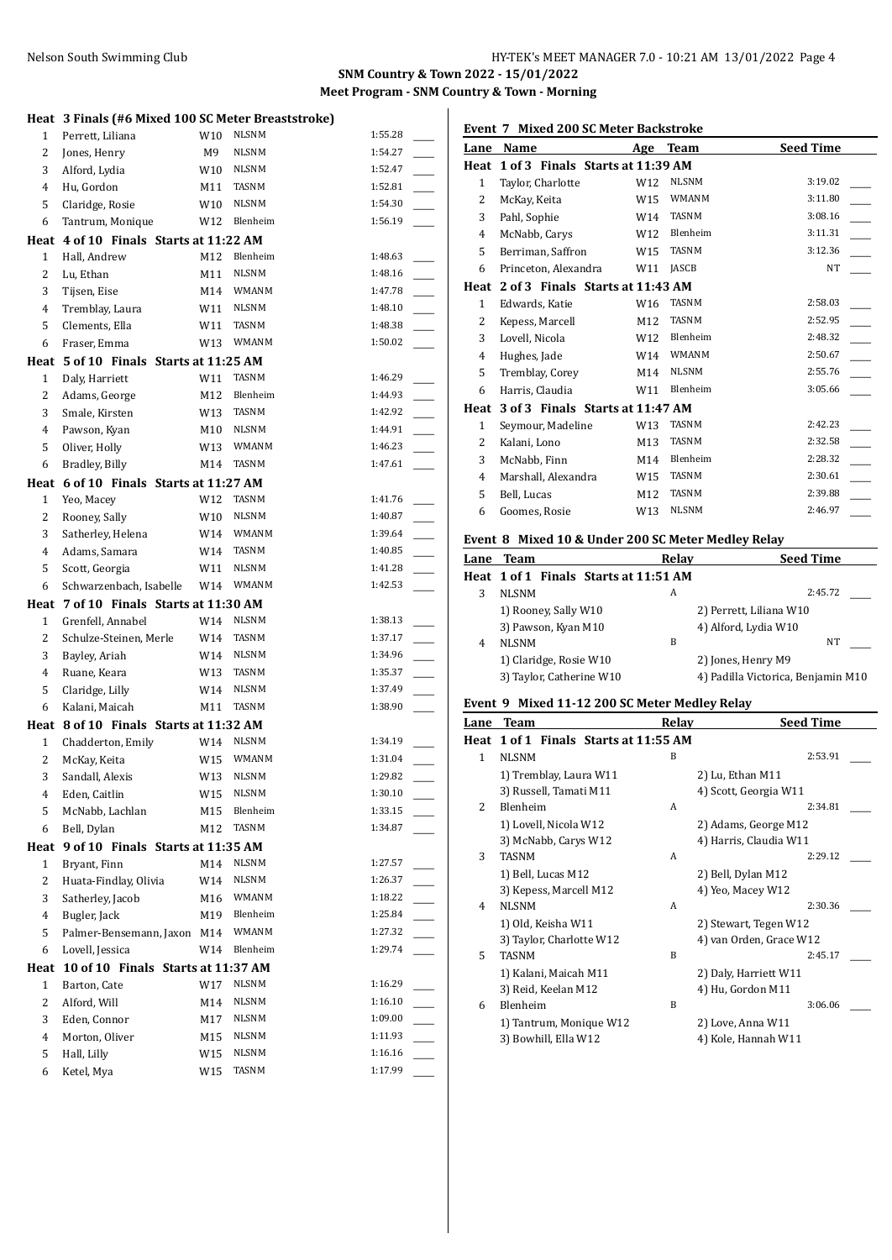#### **SNM Country & Town 2022 - 15/01/2022 Meet Program - SNM Country & Town - Morning**

|                | Heat 3 Finals (#6 Mixed 100 SC Meter Breaststroke) |            |                           |                    |
|----------------|----------------------------------------------------|------------|---------------------------|--------------------|
| 1              | Perrett, Liliana                                   | W10        | <b>NLSNM</b>              | 1:55.28            |
| 2              | Jones, Henry                                       | M9         | <b>NLSNM</b>              | 1:54.27            |
| 3              | Alford, Lydia                                      | W10        | NLSNM                     | 1:52.47            |
| $\overline{4}$ | Hu, Gordon                                         | M11        | <b>TASNM</b>              | 1:52.81            |
| 5              | Claridge, Rosie                                    | W10        | NLSNM                     | 1:54.30            |
| 6              | Tantrum, Monique                                   | W12        | Blenheim                  | 1:56.19            |
|                | Heat 4 of 10 Finals Starts at 11:22 AM             |            |                           |                    |
| $\mathbf{1}$   | Hall, Andrew                                       | M12        | Blenheim                  | 1:48.63            |
| 2              | Lu, Ethan                                          | M11        | <b>NLSNM</b>              | 1:48.16            |
| 3              | Tijsen, Eise                                       | M14        | WMANM                     | 1:47.78            |
| 4              | Tremblay, Laura                                    | W11        | NLSNM                     | 1:48.10            |
| 5              | Clements, Ella                                     | W11        | <b>TASNM</b>              | 1:48.38            |
| 6              | Fraser, Emma                                       | W13        | <b>WMANM</b>              | 1:50.02            |
|                | Heat 5 of 10 Finals Starts at 11:25 AM             |            |                           |                    |
| 1              | Daly, Harriett                                     | W11        | TASNM                     | 1:46.29            |
| 2              | Adams, George                                      | M12        | Blenheim                  | 1:44.93            |
| 3              | Smale, Kirsten                                     | W13        | TASNM                     | 1:42.92            |
| 4              | Pawson, Kyan                                       | M10        | <b>NLSNM</b>              | 1:44.91            |
| 5              | Oliver, Holly                                      | W13        | WMANM                     | 1:46.23            |
| 6              | Bradley, Billy                                     | M14        | TASNM                     | 1:47.61            |
|                | Heat 6 of 10 Finals Starts at 11:27 AM             |            |                           |                    |
| $\mathbf{1}$   | Yeo, Macey                                         | W12        | TASNM                     | 1:41.76            |
| 2              | Rooney, Sally                                      | W10        | NLSNM                     | 1:40.87            |
| 3              | Satherley, Helena                                  | W14        | WMANM                     | 1:39.64            |
| 4              | Adams, Samara                                      | W14        | TASNM                     | 1:40.85            |
| 5              | Scott, Georgia                                     | W11        | <b>NLSNM</b>              | 1:41.28            |
| 6              | Schwarzenbach, Isabelle                            | W14        | <b>WMANM</b>              | 1:42.53            |
|                |                                                    |            |                           |                    |
|                |                                                    |            |                           |                    |
| Heat           | 7 of 10 Finals Starts at 11:30 AM                  |            | <b>NLSNM</b>              |                    |
| $\mathbf{1}$   | Grenfell, Annabel                                  | W14        |                           | 1:38.13<br>1:37.17 |
| 2              | Schulze-Steinen, Merle                             | W14        | TASNM                     | 1:34.96            |
| 3              | Bayley, Ariah                                      | W14        | NLSNM<br>TASNM            | 1:35.37            |
| 4              | Ruane, Keara                                       | W13        | <b>NLSNM</b>              | 1:37.49            |
| 5              | Claridge, Lilly                                    | W14        |                           |                    |
| 6              | Kalani, Maicah                                     | M11        | TASNM                     | 1:38.90            |
|                | Heat 8 of 10 Finals Starts at 11:32 AM             |            | <b>NLSNM</b>              | 1:34.19            |
| $\mathbf{1}$   | Chadderton, Emily                                  | W14        | WMANM                     |                    |
| $\overline{2}$ | McKay, Keita                                       | W15        |                           | 1:31.04            |
| 3              | Sandall, Alexis                                    |            | W13 NLSNM<br><b>NLSNM</b> | 1:29.82            |
| 4              | Eden, Caitlin                                      | W15        |                           | 1:30.10            |
| 5              | McNabb, Lachlan                                    | M15        | Blenheim<br><b>TASNM</b>  | 1:33.15            |
| 6              | Bell, Dylan                                        | M12        |                           | 1:34.87            |
| Heat           | 9 of 10 Finals Starts at 11:35 AM                  |            |                           |                    |
| 1              | Bryant, Finn                                       | M14        | <b>NLSNM</b>              | 1:27.57            |
| 2              | Huata-Findlay, Olivia                              | W14        | <b>NLSNM</b>              | 1:26.37            |
| 3              | Satherley, Jacob                                   | M16        | WMANM                     | 1:18.22            |
| $\overline{4}$ | Bugler, Jack                                       | M19        | Blenheim                  | 1:25.84            |
| 5              | Palmer-Bensemann, Jaxon M14                        |            | WMANM                     | 1:27.32            |
| 6              | Lovell, Jessica                                    | W14        | Blenheim                  | 1:29.74            |
| Heat           | 10 of 10 Finals Starts at 11:37 AM                 |            |                           |                    |
| 1              | Barton, Cate                                       | W17        | NLSNM                     | 1:16.29            |
| 2              | Alford, Will                                       | M14        | NLSNM                     | 1:16.10            |
| 3              | Eden, Connor                                       | M17        | NLSNM                     | 1:09.00            |
| 4              | Morton, Oliver                                     | M15        | NLSNM                     | 1:11.93            |
| 5<br>6         | Hall, Lilly<br>Ketel, Mya                          | W15<br>W15 | NLSNM<br>TASNM            | 1:16.16<br>1:17.99 |

|              | <b>Event 7 Mixed 200 SC Meter Backstroke</b> |                 |              |                  |
|--------------|----------------------------------------------|-----------------|--------------|------------------|
| Lane         | Name                                         | Age             | <b>Team</b>  | <b>Seed Time</b> |
| Heat         | 1 of 3 Finals Starts at 11:39 AM             |                 |              |                  |
| $\mathbf{1}$ | Taylor, Charlotte                            | W12             | <b>NLSNM</b> | 3:19.02          |
| 2            | McKay, Keita                                 | W15             | <b>WMANM</b> | 3:11.80          |
| 3            | Pahl, Sophie                                 | W14             | <b>TASNM</b> | 3:08.16          |
| 4            | McNabb, Carys                                | W12             | Blenheim     | 3:11.31          |
| 5            | Berriman, Saffron                            | W15             | <b>TASNM</b> | 3:12.36          |
| 6            | Princeton, Alexandra                         | W11             | <b>JASCB</b> | <b>NT</b>        |
| Heat         | 2 of 3 Finals Starts at 11:43 AM             |                 |              |                  |
| $\mathbf{1}$ | Edwards, Katie                               | W <sub>16</sub> | <b>TASNM</b> | 2:58.03          |
| 2            | Kepess, Marcell                              | M12             | <b>TASNM</b> | 2:52.95          |
| 3            | Lovell, Nicola                               | W <sub>12</sub> | Blenheim     | 2:48.32          |
| 4            | Hughes, Jade                                 | W14             | <b>WMANM</b> | 2:50.67          |
| 5            | Tremblay, Corey                              | M14             | <b>NLSNM</b> | 2:55.76          |
| 6            | Harris, Claudia                              | W11             | Blenheim     | 3:05.66          |
| Heat         | 3 of 3 Finals Starts at 11:47 AM             |                 |              |                  |
| $\mathbf{1}$ | Seymour, Madeline                            | W13             | <b>TASNM</b> | 2:42.23          |
| 2            | Kalani, Lono                                 | M13             | <b>TASNM</b> | 2:32.58          |
| 3            | McNabb, Finn                                 | M14             | Blenheim     | 2:28.32          |
| 4            | Marshall, Alexandra                          | W15             | <b>TASNM</b> | 2:30.61          |
| 5            | Bell, Lucas                                  | M12             | <b>TASNM</b> | 2:39.88          |
| 6            | Goomes, Rosie                                | W13             | <b>NLSNM</b> | 2:46.97          |

### **Event 8 Mixed 10 & Under 200 SC Meter Medley Relay**

|   | Lane Team                             | Relay | <b>Seed Time</b>                   |
|---|---------------------------------------|-------|------------------------------------|
|   | Heat 1 of 1 Finals Starts at 11:51 AM |       |                                    |
|   | <b>NLSNM</b>                          | A     | 2:45.72                            |
|   | 1) Rooney, Sally W10                  |       | 2) Perrett, Liliana W10            |
|   | 3) Pawson, Kyan M10                   |       | 4) Alford, Lydia W10               |
| 4 | <b>NLSNM</b>                          | B     | NT                                 |
|   | 1) Claridge, Rosie W10                |       | 2) Jones, Henry M9                 |
|   | 3) Taylor, Catherine W10              |       | 4) Padilla Victorica, Benjamin M10 |

### **Event 9 Mixed 11-12 200 SC Meter Medley Relay**

| Lane           | <b>Team</b>                           | Relay | <b>Seed Time</b>        |  |
|----------------|---------------------------------------|-------|-------------------------|--|
|                | Heat 1 of 1 Finals Starts at 11:55 AM |       |                         |  |
| 1              | <b>NLSNM</b>                          | B     | 2:53.91                 |  |
|                | 1) Tremblay, Laura W11                |       | 2) Lu, Ethan M11        |  |
|                | 3) Russell, Tamati M11                |       | 4) Scott, Georgia W11   |  |
| $\overline{2}$ | <b>Blenheim</b>                       | A     | 2:34.81                 |  |
|                | 1) Lovell, Nicola W12                 |       | 2) Adams, George M12    |  |
|                | 3) McNabb, Carys W12                  |       | 4) Harris, Claudia W11  |  |
| 3              | <b>TASNM</b>                          | A     | 2:29.12                 |  |
|                | 1) Bell, Lucas M12                    |       | 2) Bell, Dylan M12      |  |
|                | 3) Kepess, Marcell M12                |       | 4) Yeo, Macey W12       |  |
| 4              | <b>NLSNM</b>                          | A     | 2:30.36                 |  |
|                | 1) Old, Keisha W11                    |       | 2) Stewart, Tegen W12   |  |
|                | 3) Taylor, Charlotte W12              |       | 4) van Orden, Grace W12 |  |
| 5              | <b>TASNM</b>                          | B     | 2:45.17                 |  |
|                | 1) Kalani, Maicah M11                 |       | 2) Daly, Harriett W11   |  |
|                | 3) Reid, Keelan M12                   |       | 4) Hu, Gordon M11       |  |
| 6              | Blenheim                              | B     | 3:06.06                 |  |
|                | 1) Tantrum, Monique W12               |       | 2) Love, Anna W11       |  |
|                | 3) Bowhill, Ella W12                  |       | 4) Kole, Hannah W11     |  |